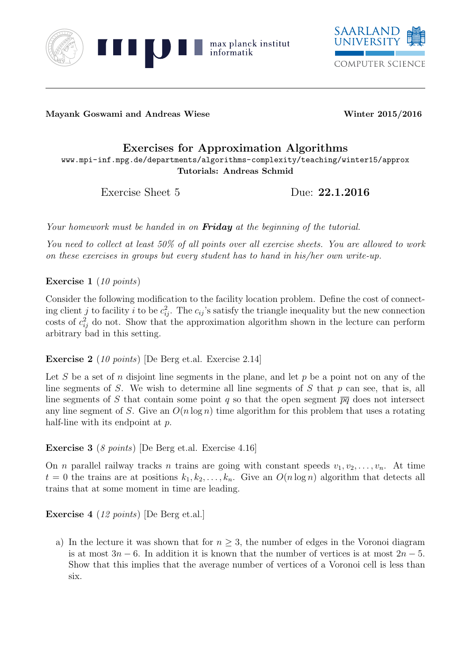



Mayank Goswami and Andreas Wiese Winter 2015/2016

## Exercises for Approximation Algorithms www.mpi-inf.mpg.de/departments/algorithms-complexity/teaching/winter15/approx Tutorials: Andreas Schmid

Exercise Sheet 5 Due: 22.1.2016

Your homework must be handed in on **Friday** at the beginning of the tutorial.

You need to collect at least 50% of all points over all exercise sheets. You are allowed to work on these exercises in groups but every student has to hand in his/her own write-up.

Exercise 1 (10 points)

Consider the following modification to the facility location problem. Define the cost of connecting client j to facility i to be  $c_{ij}^2$ . The  $c_{ij}$ 's satisfy the triangle inequality but the new connection costs of  $c_{ij}^2$  do not. Show that the approximation algorithm shown in the lecture can perform arbitrary bad in this setting.

Exercise 2 (10 points) [De Berg et.al. Exercise 2.14]

Let S be a set of n disjoint line segments in the plane, and let  $p$  be a point not on any of the line segments of S. We wish to determine all line segments of S that p can see, that is, all line segments of S that contain some point q so that the open segment  $\overline{pq}$  does not intersect any line segment of S. Give an  $O(n \log n)$  time algorithm for this problem that uses a rotating half-line with its endpoint at p.

Exercise 3 (8 points) [De Berg et.al. Exercise 4.16]

On *n* parallel railway tracks *n* trains are going with constant speeds  $v_1, v_2, \ldots, v_n$ . At time  $t = 0$  the trains are at positions  $k_1, k_2, \ldots, k_n$ . Give an  $O(n \log n)$  algorithm that detects all trains that at some moment in time are leading.

Exercise 4 (12 points) [De Berg et.al.]

a) In the lecture it was shown that for  $n \geq 3$ , the number of edges in the Voronoi diagram is at most  $3n - 6$ . In addition it is known that the number of vertices is at most  $2n - 5$ . Show that this implies that the average number of vertices of a Voronoi cell is less than six.